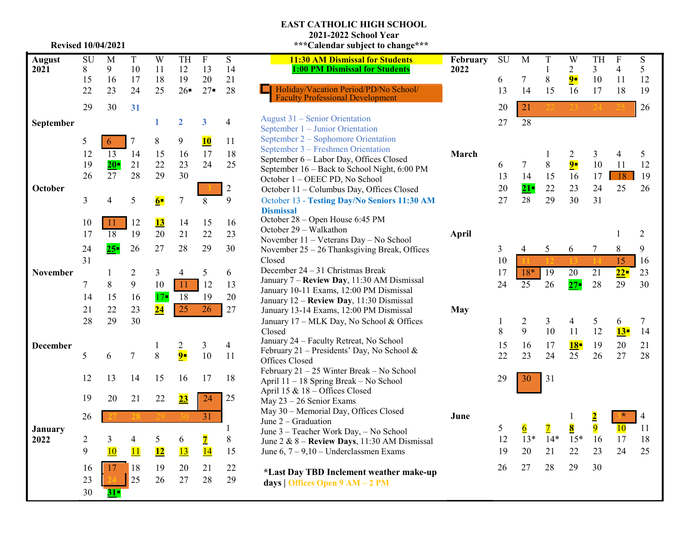### **EAST CATHOLIC HIGH SCHOOL**

**2021 -2022 School Year**

| <b>August</b>   | SU             | M               | $\mathbf T$    | W              | TH             | $\overline{F}$          | $\overline{S}$ | 11:30 AM Dismissal for Students                                                         | Febr |
|-----------------|----------------|-----------------|----------------|----------------|----------------|-------------------------|----------------|-----------------------------------------------------------------------------------------|------|
| 2021            | 8              | 9               | 10             | 11             | 12             | 13                      | 14             | <b>1:00 PM Dismissal for Students</b>                                                   | 2022 |
|                 | 15             | 16              | 17             | 18             | 19             | 20                      | 21             |                                                                                         |      |
|                 | 22             | 23              | 24             | 25             | 26             | $27 -$                  | 28             | Holiday/Vacation Period/PD/No School/<br><b>Faculty Professional Development</b>        |      |
|                 | 29             | 30              | 31             |                |                |                         |                |                                                                                         |      |
| September       |                |                 |                | 1              | $\overline{2}$ | $\overline{\mathbf{3}}$ | $\overline{4}$ | August 31 – Senior Orientation                                                          |      |
|                 |                |                 |                |                |                |                         |                | September 1 – Junior Orientation                                                        |      |
|                 | 5              | 6               | $\tau$         | 8              | 9              | <b>10</b>               | 11             | September 2 – Sophomore Orientation                                                     |      |
|                 | 12             | $\overline{13}$ | 14             | 15             | 16             | 17                      | 18             | September 3 – Freshmen Orientation                                                      | Mar  |
|                 | 19             | $20 -$          | 21             | 22             | 23             | 24                      | 25             | September 6 - Labor Day, Offices Closed<br>September 16 - Back to School Night, 6:00 PM |      |
|                 | 26             | 27              | 28             | 29             | 30             |                         |                | October 1 - OEEC PD, No School                                                          |      |
| October         |                |                 |                |                |                |                         | $\overline{2}$ | October 11 - Columbus Day, Offices Closed                                               |      |
|                 | 3              | 4               | 5              | 6 <sup>1</sup> | $\tau$         | 8                       | 9              | October 13 - Testing Day/No Seniors 11:30 AM                                            |      |
|                 |                |                 |                |                |                |                         |                | <b>Dismissal</b>                                                                        |      |
|                 | 10             | 11              | 12             | <u>13</u>      | 14             | 15                      | 16             | October 28 – Open House 6:45 PM                                                         |      |
|                 | 17             | 18              | 19             | 20             | 21             | 22                      | 23             | October 29 - Walkathon                                                                  | Apri |
|                 |                |                 |                |                |                |                         |                | November 11 - Veterans Day - No School                                                  |      |
|                 | 24             | $25 -$          | 26             | 27             | 28             | 29                      | 30             | November 25 - 26 Thanksgiving Break, Offices                                            |      |
|                 | 31             |                 |                |                |                |                         |                | Closed                                                                                  |      |
| November        |                | 1               | 2              | $\overline{3}$ | 4              | 5                       | 6              | December 24 - 31 Christmas Break<br>January 7 - Review Day, 11:30 AM Dismissal          |      |
|                 | 7              | 8               | 9              | 10             | 11             | 12                      | 13             | January 10-11 Exams, 12:00 PM Dismissal                                                 |      |
|                 | 14             | 15              | 16             | $17-$          | 18             | 19                      | 20             | January 12 - Review Day, 11:30 Dismissal                                                |      |
|                 | 21             | 22              | 23             | 24             | 25             | 26                      | 27             | January 13-14 Exams, 12:00 PM Dismissal                                                 | May  |
|                 | 28             | 29              | 30             |                |                |                         |                | January 17 - MLK Day, No School & Offices                                               |      |
|                 |                |                 |                |                |                |                         |                | Closed                                                                                  |      |
| <b>December</b> |                |                 |                | 1              | 2              | $\mathfrak{Z}$          | $\overline{4}$ | January 24 - Faculty Retreat, No School                                                 |      |
|                 | 5              | 6               | $\overline{7}$ | 8              | $9-$           | 10                      | 11             | February 21 – Presidents' Day, No School &                                              |      |
|                 |                |                 |                |                |                |                         |                | Offices Closed                                                                          |      |
|                 | 12             | 13              | 14             | 15             | 16             | 17                      | 18             | February 21 - 25 Winter Break - No School                                               |      |
|                 |                |                 |                |                |                |                         |                | April 11 - 18 Spring Break - No School                                                  |      |
|                 | 19             | 20              | 21             | 22             | 23             | 24                      | 25             | April 15 & 18 - Offices Closed<br>May $23 - 26$ Senior Exams                            |      |
|                 |                |                 |                |                |                |                         |                | May 30 - Memorial Day, Offices Closed                                                   |      |
|                 | 26             |                 |                |                |                | $\overline{31}$         |                | June $2 -$ Graduation                                                                   | June |
| January         |                |                 |                |                |                |                         | $\mathbf{1}$   | June 3 - Teacher Work Day, - No School                                                  |      |
| 2022            | $\overline{2}$ | 3               | $\overline{4}$ | 5              | 6              | $\overline{\mathbf{Z}}$ | $\,$ $\,$      | June 2 & 8 - Review Days, 11:30 AM Dismissal                                            |      |
|                 | 9              | <b>10</b>       | 11             | 12             | 13             | 14                      | 15             | June $6, 7 - 9, 10 -$ Underclassmen Exams                                               |      |
|                 | 16             | 17              | 18             | 19             | 20             | 21                      | 22             |                                                                                         |      |
|                 | 23             |                 | 25             | 26             | 27             | 28                      | 29             | *Last Day TBD Inclement weather make-up                                                 |      |
|                 |                |                 |                |                |                |                         |                | days   Offices Open 9 AM - 2 PM                                                         |      |
|                 | 30             | 31-             |                |                |                |                         |                |                                                                                         |      |

| <b>Revised 10/04/2021</b> |                |          |                   |                          |                          |                          |                | ***Calendar subject to change***                                                      |                  |         |                |                   |                         |                         |                     |                |
|---------------------------|----------------|----------|-------------------|--------------------------|--------------------------|--------------------------|----------------|---------------------------------------------------------------------------------------|------------------|---------|----------------|-------------------|-------------------------|-------------------------|---------------------|----------------|
| ust                       | SU<br>8        | M<br>9   | $\mathbf T$<br>10 | $\overline{W}$<br>11     | TH<br>12                 | $\mathbf F$<br>13        | S<br>14        | <b>11:30 AM Dismissal for Students</b><br><b>1:00 PM Dismissal for Students</b>       | February<br>2022 | SU      | M              | T<br>1            | W<br>$\overline{c}$     | TH<br>$\mathfrak{Z}$    | F<br>$\overline{4}$ | S<br>5         |
|                           | 15<br>22       | 16<br>23 | 17<br>24          | 18<br>25                 | 19<br>26                 | 20<br>$27 -$             | 21<br>28       | Holiday/Vacation Period/PD/No School/<br><b>Faculty Professional Development</b>      |                  | 6<br>13 | 7<br>14        | $\,$ 8 $\,$<br>15 | $9 -$<br>16             | 10<br>17                | 11<br>18            | 12<br>19       |
|                           | 29             | 30       | 31                |                          |                          |                          |                |                                                                                       |                  | 20      | 21             |                   |                         |                         |                     | 26             |
| ember                     |                |          |                   |                          | $\overline{2}$           | 3                        | 4              | August 31 – Senior Orientation<br>September 1 - Junior Orientation                    |                  | 27      | 28             |                   |                         |                         |                     |                |
|                           | 5              | 6        | $\tau$            | 8                        | 9                        | $\overline{\mathbf{10}}$ | 11             | September 2 – Sophomore Orientation<br>September 3 - Freshmen Orientation             |                  |         |                |                   |                         |                         |                     |                |
|                           | 12             | 13       | 14                | 15                       | 16                       | 17                       | 18             | September 6 - Labor Day, Offices Closed                                               | March            |         |                |                   | 2                       | 3                       | 4                   | 5              |
|                           | 19             | $20 -$   | 21                | 22                       | 23                       | 24                       | 25             | September 16 - Back to School Night, 6:00 PM                                          |                  | 6       | $\tau$         | $8\,$             | $\frac{9}{2}$           | 10                      | 11                  | 12             |
|                           | 26             | 27       | 28                | 29                       | 30                       |                          |                | October 1 - OEEC PD, No School                                                        |                  | 13      | 14             | 15                | 16                      | 17                      | $\overline{18}$     | 19             |
| ›ber                      |                |          |                   |                          |                          |                          | $\sqrt{2}$     | October 11 - Columbus Day, Offices Closed                                             |                  | 20      | $21-$          | 22                | 23                      | 24                      | 25                  | 26             |
|                           | 3              | 4        | 5                 | $6-$                     | $\tau$                   | 8                        | 9              | October 13 - Testing Day/No Seniors 11:30 AM<br><b>Dismissal</b>                      |                  | 27      | 28             | 29                | 30                      | 31                      |                     |                |
|                           | 10             | 11       | 12                | <u>13</u>                | 14                       | 15                       | 16             | October 28 - Open House 6:45 PM                                                       |                  |         |                |                   |                         |                         |                     |                |
|                           | 17             | 18       | 19                | 20                       | 21                       | 22                       | 23             | October 29 - Walkathon<br>November 11 - Veterans Day - No School                      | April            |         |                |                   |                         |                         |                     | 2              |
|                           | 24             | $25 -$   | 26                | 27                       | 28                       | 29                       | 30             | November 25 - 26 Thanksgiving Break, Offices                                          |                  | 3       | 4              | 5                 | 6                       | 7                       | 8                   | 9              |
|                           | 31             |          |                   |                          |                          |                          |                | Closed                                                                                |                  | 10      |                |                   |                         |                         | 15                  | 16             |
| ember                     |                |          | $\overline{c}$    | 3                        | $\overline{\mathcal{A}}$ | 5                        | 6              | December 24 - 31 Christmas Break                                                      |                  | 17      | $18*$          | 19                | 20                      | 21                      | $22-$               | 23             |
|                           | 7              | 8        | 9                 | 10                       | -11                      | 12                       | 13             | January 7 - Review Day, 11:30 AM Dismissal                                            |                  | 24      | 25             | 26                | $27 -$                  | 28                      | 29                  | 30             |
|                           | 14             | 15       | 16                | $17 -$                   | 18                       | 19                       | 20             | January 10-11 Exams, 12:00 PM Dismissal                                               |                  |         |                |                   |                         |                         |                     |                |
|                           |                |          |                   |                          |                          |                          |                | January 12 - Review Day, 11:30 Dismissal                                              |                  |         |                |                   |                         |                         |                     |                |
|                           | 21             | 22       | 23                | $\overline{24}$          | 25                       | 26                       | 27             | January 13-14 Exams, 12:00 PM Dismissal                                               | <b>May</b>       |         |                |                   |                         |                         |                     |                |
| 28                        |                | 29       | 30                |                          |                          |                          |                | January 17 - MLK Day, No School & Offices                                             |                  | 1       | $\overline{c}$ | 3                 | 4                       | 5                       | 6                   | $\tau$         |
|                           |                |          |                   |                          |                          |                          |                | Closed<br>January 24 - Faculty Retreat, No School                                     |                  | $8\,$   | 9              | 10                | 11                      | 12                      | $13-$               | 14             |
| ember                     |                |          |                   |                          | $\overline{c}$           | $\mathfrak{Z}$           | $\overline{4}$ | February 21 - Presidents' Day, No School &                                            |                  | 15      | 16             | 17                | 18                      | 19                      | 20                  | 21             |
|                           | 5              | 6        | $\boldsymbol{7}$  | $8\,$                    | $9 -$                    | 10                       | 11             | Offices Closed                                                                        |                  | 22      | 23             | 24                | 25                      | 26                      | 27                  | 28             |
|                           | 12             | 13       | 14                | 15                       | 16                       | 17                       | 18             | February $21 - 25$ Winter Break – No School<br>April 11 - 18 Spring Break - No School |                  | 29      | 30             | 31                |                         |                         |                     |                |
|                           | 19             | 20       | 21                | 22                       | 23                       | 24                       | 25             | April 15 & 18 - Offices Closed<br>May $23 - 26$ Senior Exams                          |                  |         |                |                   |                         |                         |                     |                |
|                           |                |          |                   |                          |                          |                          |                | May 30 - Memorial Day, Offices Closed                                                 |                  |         |                |                   |                         |                         |                     |                |
|                           | 26             |          |                   |                          |                          | 31                       |                | June $2 -$ Graduation                                                                 | June             |         |                |                   |                         | $\overline{\mathbf{2}}$ | ×                   | $\overline{4}$ |
| ıary                      |                |          |                   |                          |                          |                          | 1              | June 3 - Teacher Work Day, - No School                                                |                  | 5       | 6              | $\overline{7}$    | $\overline{\mathbf{8}}$ | $\overline{9}$          | 10                  | 11             |
|                           | $\overline{c}$ | 3        | 4                 | 5                        | 6                        | $\overline{\mathbf{z}}$  | $8\,$          | June 2 & 8 - Review Days, 11:30 AM Dismissal                                          |                  | 12      | $13*$          | $14*$             | $15*$                   | 16                      | 17                  | 18             |
|                           | 9              | 10       | 11                | $\overline{\mathbf{12}}$ | $\overline{13}$          | 14                       | 15             | June $6, 7 - 9, 10 -$ Underclassmen Exams                                             |                  | 19      | 20             | 21                | 22                      | 23                      | 24                  | 25             |
|                           | 16             | 17       | 18                | 19                       | 20                       | 21                       | 22             |                                                                                       |                  | 26      | 27             | 28                | 29                      | 30                      |                     |                |
|                           | 23             |          | 25                | 26                       | 27                       | 28                       | 29             | *Last Day TBD Inclement weather make-up<br>days   Offices Open 9 AM - 2 PM            |                  |         |                |                   |                         |                         |                     |                |

 $\frac{5}{12}$ 

 $\frac{5}{12}$